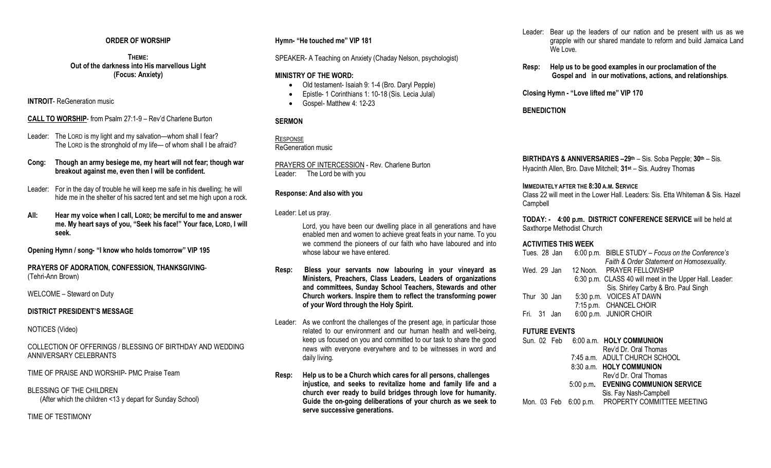#### **ORDER OF WORSHIP**

**THEME: Out of the darkness into His marvellous Light (Focus: Anxiety)**

**INTROIT**- ReGeneration music

- **CALL TO WORSHIP** from Psalm 27:1-9 Rev'd Charlene Burton
- Leader: The LORD is my light and my salvation—whom shall I fear? The LORD is the stronghold of my life— of whom shall I be afraid?
- **Cong: Though an army besiege me, my heart will not fear; though war breakout against me, even then I will be confident.**
- Leader: For in the day of trouble he will keep me safe in his dwelling; he will hide me in the shelter of his sacred tent and set me high upon a rock.
- **All: Hear my voice when I call, LORD; be merciful to me and answer me. My heart says of you, "Seek his face!" Your face, LORD, I will seek.**

**Opening Hymn / song- "I know who holds tomorrow" VIP 195**

**PRAYERS OF ADORATION, CONFESSION, THANKSGIVING**- (Tehri-Ann Brown)

WELCOME – Steward on Duty

#### **DISTRICT PRESIDENT'S MESSAGE**

NOTICES (Video)

COLLECTION OF OFFERINGS / BLESSING OF BIRTHDAY AND WEDDING ANNIVERSARY CELEBRANTS

TIME OF PRAISE AND WORSHIP- PMC Praise Team

BLESSING OF THE CHILDREN (After which the children <13 y depart for Sunday School)

TIME OF TESTIMONY

#### **Hymn- "He touched me" VIP 181**

SPEAKER- A Teaching on Anxiety (Chaday Nelson, psychologist)

### **MINISTRY OF THE WORD:**

- Old testament- Isaiah 9: 1-4 (Bro. Daryl Pepple)
- Epistle- 1 Corinthians 1: 10-18 (Sis. Lecia Julal)
- Gospel-Matthew 4: 12-23

# **SERMON**

**RESPONSE** ReGeneration music

PRAYERS OF INTERCESSION - Rev. Charlene Burton Leader: The Lord be with you

# **Response: And also with you**

#### Leader: Let us pray.

Lord, you have been our dwelling place in all generations and have enabled men and women to achieve great feats in your name. To you we commend the pioneers of our faith who have laboured and into whose labour we have entered.

- **Resp: Bless your servants now labouring in your vineyard as Ministers, Preachers, Class Leaders, Leaders of organizations and committees, Sunday School Teachers, Stewards and other Church workers. Inspire them to reflect the transforming power of your Word through the Holy Spirit.**
- Leader: As we confront the challenges of the present age, in particular those related to our environment and our human health and well-being, keep us focused on you and committed to our task to share the good news with everyone everywhere and to be witnesses in word and daily living.
- **Resp: Help us to be a Church which cares for all persons, challenges injustice, and seeks to revitalize home and family life and a church ever ready to build bridges through love for humanity. Guide the on-going deliberations of your church as we seek to serve successive generations.**
- Leader: Bear up the leaders of our nation and be present with us as we grapple with our shared mandate to reform and build Jamaica Land We Love.
- **Resp: Help us to be good examples in our proclamation of the Gospel and in our motivations, actions, and relationships**.

**Closing Hymn - "Love lifted me" VIP 170**

# **BENEDICTION**

**BIRTHDAYS & ANNIVERSARIES –29th** – Sis. Soba Pepple; **30th** – Sis. Hyacinth Allen, Bro. Dave Mitchell; **31st** – Sis. Audrey Thomas

#### **IMMEDIATELY AFTER THE 8:30 A.M. SERVICE**

Class 22 will meet in the Lower Hall. Leaders: Sis. Etta Whiteman & Sis. Hazel Campbell

**TODAY: - 4:00 p.m. DISTRICT CONFERENCE SERVICE** will be held at Saxthorpe Methodist Church

#### **ACTIVITIES THIS WEEK**

| Tues. 28 Jan | 6:00 p.m. BIBLE STUDY - Focus on the Conference's       |
|--------------|---------------------------------------------------------|
|              | Faith & Order Statement on Homosexuality.               |
| Wed. 29 Jan  | 12 Noon. PRAYER FELLOWSHIP                              |
|              | 6:30 p.m. CLASS 40 will meet in the Upper Hall. Leader: |
|              | Sis. Shirley Carby & Bro. Paul Singh                    |
| Thur 30 Jan  | 5:30 p.m. VOICES AT DAWN                                |
|              | 7:15 p.m. CHANCEL CHOIR                                 |
| Fri. 31 Jan  | 6:00 p.m. JUNIOR CHOIR                                  |
|              |                                                         |

#### **FUTURE EVENTS**

|  |  | Sun. 02 Feb 6:00 a.m. HOLY COMMUNION             |
|--|--|--------------------------------------------------|
|  |  | Rev'd Dr. Oral Thomas                            |
|  |  | 7:45 a.m. ADULT CHURCH SCHOOL                    |
|  |  | 8:30 a.m. HOLY COMMUNION                         |
|  |  | Rev'd Dr. Oral Thomas                            |
|  |  | 5:00 p.m. EVENING COMMUNION SERVICE              |
|  |  | Sis. Fay Nash-Campbell                           |
|  |  | Mon. 03 Feb 6:00 p.m. PROPERTY COMMITTEE MEETING |
|  |  |                                                  |